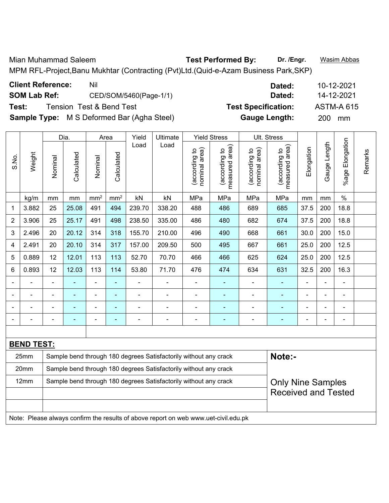Mian Muhammad Saleem **Test Performed By: Dr. /Engr.** Wasim Abbas MPM RFL-Project,Banu Mukhtar (Contracting (Pvt)Ltd.(Quid-e-Azam Business Park,SKP)

| <b>Client Reference:</b> | Nil                                               | Dated:                     | 10-12-2021        |
|--------------------------|---------------------------------------------------|----------------------------|-------------------|
| <b>SOM Lab Ref:</b>      | CED/SOM/5460(Page-1/1)                            | Dated:                     | 14-12-2021        |
| Test:                    | Tension Test & Bend Test                          | <b>Test Specification:</b> | <b>ASTM-A 615</b> |
|                          | <b>Sample Type:</b> M S Deformed Bar (Agha Steel) | <b>Gauge Length:</b>       | <b>200</b><br>mm  |

|       |                   |                                                                            | Dia.           |                 | Area            | Yield  | Ultimate                                                         |                                | <b>Yield Stress</b>             |                                | Ult. Stress                     |                          |                |                      |         |
|-------|-------------------|----------------------------------------------------------------------------|----------------|-----------------|-----------------|--------|------------------------------------------------------------------|--------------------------------|---------------------------------|--------------------------------|---------------------------------|--------------------------|----------------|----------------------|---------|
| S.No. | Weight            | Nominal                                                                    | Calculated     | Nominal         | Calculated      | Load   | Load                                                             | nominal area)<br>(according to | measured area)<br>(according to | nominal area)<br>(according to | measured area)<br>(according to | Elongation               | Gauge Length   | Elongation<br>%age I | Remarks |
|       | kg/m              | mm                                                                         | mm             | mm <sup>2</sup> | mm <sup>2</sup> | kN     | kN                                                               | MPa                            | MPa                             | MPa                            | MPa                             | mm                       | mm             | $\%$                 |         |
| 1     | 3.882             | 25                                                                         | 25.08          | 491             | 494             | 239.70 | 338.20                                                           | 488                            | 486                             | 689                            | 685                             | 37.5                     | 200            | 18.8                 |         |
| 2     | 3.906             | 25                                                                         | 25.17          | 491             | 498             | 238.50 | 335.00                                                           | 486                            | 480                             | 682                            | 674                             | 37.5                     | 200            | 18.8                 |         |
| 3     | 2.496             | 20                                                                         | 20.12          | 314             | 318             | 155.70 | 210.00                                                           | 496                            | 490                             | 668                            | 661                             | 30.0                     | 200            | 15.0                 |         |
| 4     | 2.491             | 20                                                                         | 20.10          | 314             | 317             | 157.00 | 209.50                                                           | 500                            | 495                             | 667                            | 661                             | 25.0                     | 200            | 12.5                 |         |
| 5     | 0.889             | 12                                                                         | 12.01          | 113             | 113             | 52.70  | 70.70                                                            | 466                            | 466                             | 625                            | 624                             | 25.0                     | 200            | 12.5                 |         |
| 6     | 0.893             | 12                                                                         | 12.03          | 113             | 114             | 53.80  | 71.70                                                            | 476                            | 474                             | 634                            | 631                             | 32.5                     | 200            | 16.3                 |         |
|       |                   | $\blacksquare$                                                             |                | $\blacksquare$  | $\blacksquare$  |        |                                                                  |                                |                                 | $\blacksquare$                 |                                 |                          | $\blacksquare$ | $\blacksquare$       |         |
|       |                   | $\blacksquare$                                                             | $\blacksquare$ | $\blacksquare$  | $\blacksquare$  | ۰      |                                                                  |                                | $\overline{\phantom{0}}$        | ÷,                             | ÷                               |                          | $\overline{a}$ | $\overline{a}$       |         |
|       |                   | $\blacksquare$                                                             | $\blacksquare$ | $\blacksquare$  | $\blacksquare$  |        |                                                                  | $\blacksquare$                 | $\blacksquare$                  | $\blacksquare$                 |                                 |                          |                | $\blacksquare$       |         |
|       |                   | $\qquad \qquad \blacksquare$                                               |                | $\blacksquare$  | $\blacksquare$  |        | $\overline{\phantom{0}}$                                         | -                              | ۰                               | ÷                              | ۰                               | $\overline{\phantom{0}}$ | $\blacksquare$ | $\overline{a}$       |         |
|       |                   |                                                                            |                |                 |                 |        |                                                                  |                                |                                 |                                |                                 |                          |                |                      |         |
|       | <b>BEND TEST:</b> |                                                                            |                |                 |                 |        |                                                                  |                                |                                 |                                |                                 |                          |                |                      |         |
|       | 25mm              | Note:-<br>Sample bend through 180 degrees Satisfactorily without any crack |                |                 |                 |        |                                                                  |                                |                                 |                                |                                 |                          |                |                      |         |
|       | 20mm              |                                                                            |                |                 |                 |        | Sample bend through 180 degrees Satisfactorily without any crack |                                |                                 |                                |                                 |                          |                |                      |         |
|       | 12mm              |                                                                            |                |                 |                 |        | Sample bend through 180 degrees Satisfactorily without any crack |                                |                                 |                                | <b>Only Nine Samples</b>        |                          |                |                      |         |
|       |                   | <b>Received and Tested</b>                                                 |                |                 |                 |        |                                                                  |                                |                                 |                                |                                 |                          |                |                      |         |

Note: Please always confirm the results of above report on web www.uet-civil.edu.pk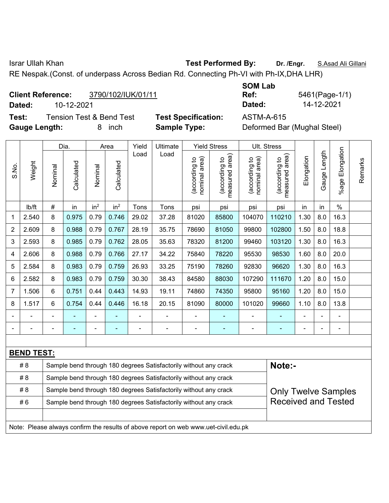Israr Ullah Khan **Test Performed By: Dr. /Engr.** S.Asad Ali Gillani

RE Nespak.(Const. of underpass Across Bedian Rd. Connecting Ph-VI with Ph-IX,DHA LHR)

# **Client Reference:** 3790/102/IUK/01/11

**Dated:** 10-12-2021 **Dated:** 14-12-2021

**Test:** Tension Test & Bend Test **Test Specification:** ASTM-A-615 **Gauge Length:** 8 inch **Sample Type:** Deformed Bar (Mughal Steel)

| <b>SOM Lab</b> |     |
|----------------|-----|
| Ref:           | 546 |
| Dated:         | 14  |

**Ref:** 5461(Page-1/1)

|                |                                                                                     |         | Dia.       |                 | Area            | Yield | Ultimate                                                         |                                | <b>Yield Stress</b>             |                                | Ult. Stress                     |            |              |                       |         |
|----------------|-------------------------------------------------------------------------------------|---------|------------|-----------------|-----------------|-------|------------------------------------------------------------------|--------------------------------|---------------------------------|--------------------------------|---------------------------------|------------|--------------|-----------------------|---------|
| S.No.          | Weight                                                                              | Nominal | Calculated | Nominal         | Calculated      | Load  | Load                                                             | nominal area)<br>(according to | (according to<br>measured area) | nominal area)<br>(according to | (according to<br>measured area) | Elongation | Gauge Length | Elongation<br>$%$ age | Remarks |
|                | lb/ft                                                                               | $\#$    | in         | in <sup>2</sup> | in <sup>2</sup> | Tons  | Tons                                                             | psi                            | psi                             | psi                            | psi                             | in         | in           | $\%$                  |         |
| 1              | 2.540                                                                               | 8       | 0.975      | 0.79            | 0.746           | 29.02 | 37.28                                                            | 81020                          | 85800                           | 104070                         | 110210                          | 1.30       | 8.0          | 16.3                  |         |
| $\overline{2}$ | 2.609                                                                               | 8       | 0.988      | 0.79            | 0.767           | 28.19 | 35.75                                                            | 78690                          | 81050                           | 99800                          | 102800                          | 1.50       | 8.0          | 18.8                  |         |
| 3              | 2.593                                                                               | 8       | 0.985      | 0.79            | 0.762           | 28.05 | 35.63                                                            | 78320                          | 81200                           | 99460                          | 103120                          | 1.30       | 8.0          | 16.3                  |         |
| 4              | 2.606                                                                               | 8       | 0.988      | 0.79            | 0.766           | 27.17 | 34.22                                                            | 75840                          | 78220                           | 95530                          | 98530                           | 1.60       | 8.0          | 20.0                  |         |
| 5              | 2.584                                                                               | 8       | 0.983      | 0.79            | 0.759           | 26.93 | 33.25                                                            | 75190                          | 78260                           | 92830                          | 96620                           | 1.30       | 8.0          | 16.3                  |         |
| 6              | 2.582                                                                               | 8       | 0.983      | 0.79            | 0.759           | 30.30 | 38.43                                                            | 84580                          | 88030                           | 107290                         | 111670                          | 1.20       | 8.0          | 15.0                  |         |
| 7              | 1.506                                                                               | 6       | 0.751      | 0.44            | 0.443           | 14.93 | 19.11                                                            | 74860                          | 74350                           | 95800                          | 95160                           | 1.20       | 8.0          | 15.0                  |         |
| 8              | 1.517                                                                               | 6       | 0.754      | 0.44            | 0.446           | 16.18 | 20.15                                                            | 81090                          | 80000                           | 101020                         | 99660                           | 1.10       | 8.0          | 13.8                  |         |
|                |                                                                                     |         |            |                 |                 |       |                                                                  |                                |                                 |                                |                                 |            |              |                       |         |
|                |                                                                                     |         |            | ÷               |                 |       | Ē,                                                               | ä,                             |                                 |                                | ۰                               |            |              | Ē,                    |         |
|                |                                                                                     |         |            |                 |                 |       |                                                                  |                                |                                 |                                |                                 |            |              |                       |         |
|                | <b>BEND TEST:</b>                                                                   |         |            |                 |                 |       |                                                                  |                                |                                 |                                |                                 |            |              |                       |         |
|                | #8                                                                                  |         |            |                 |                 |       | Sample bend through 180 degrees Satisfactorily without any crack |                                |                                 |                                | Note:-                          |            |              |                       |         |
|                | #8                                                                                  |         |            |                 |                 |       | Sample bend through 180 degrees Satisfactorily without any crack |                                |                                 |                                |                                 |            |              |                       |         |
|                | #8                                                                                  |         |            |                 |                 |       | Sample bend through 180 degrees Satisfactorily without any crack |                                |                                 |                                | <b>Only Twelve Samples</b>      |            |              |                       |         |
|                | #6                                                                                  |         |            |                 |                 |       | Sample bend through 180 degrees Satisfactorily without any crack |                                |                                 |                                | <b>Received and Tested</b>      |            |              |                       |         |
|                |                                                                                     |         |            |                 |                 |       |                                                                  |                                |                                 |                                |                                 |            |              |                       |         |
|                | Note: Please always confirm the results of above report on web www.uet-civil.edu.pk |         |            |                 |                 |       |                                                                  |                                |                                 |                                |                                 |            |              |                       |         |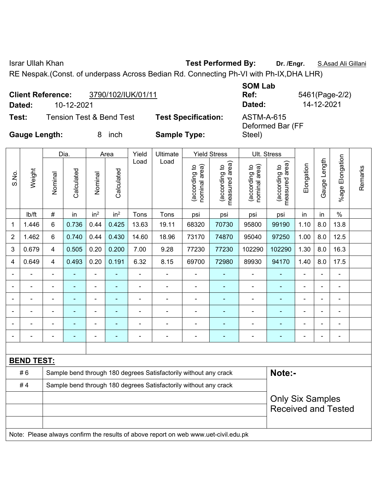Israr Ullah Khan **Test Performed By: Dr. /Engr.** S.Asad Ali Gillani

RE Nespak.(Const. of underpass Across Bedian Rd. Connecting Ph-VI with Ph-IX,DHA LHR)

| Dated:               | <b>Client Reference:</b><br>10-12-2021 | 3790/102/IUK/01/11       |                            | <b>SOM Lab</b><br>Ref:<br>Dated: | 5461(Page-2/2)<br>14-12-2021 |
|----------------------|----------------------------------------|--------------------------|----------------------------|----------------------------------|------------------------------|
| Test:                |                                        | Tension Test & Bend Test | <b>Test Specification:</b> | ASTM-A-615                       |                              |
| <b>Gauge Length:</b> |                                        | inch                     | <b>Sample Type:</b>        | Deformed Bar (FF<br>Steel)       |                              |

|             |                   |                                                                  | Dia.       |                 |                    | Yield          | Ultimate                                                                            |                                |                                                        |                                               |                                 |                |                |                 |         |
|-------------|-------------------|------------------------------------------------------------------|------------|-----------------|--------------------|----------------|-------------------------------------------------------------------------------------|--------------------------------|--------------------------------------------------------|-----------------------------------------------|---------------------------------|----------------|----------------|-----------------|---------|
| S.No.       | Weight            | Nominal                                                          | Calculated | Nominal         | Area<br>Calculated | Load           | Load                                                                                | (according to<br>nominal area) | <b>Yield Stress</b><br>measured area)<br>(according to | Ult. Stress<br>nominal area)<br>(according to | (according to<br>measured area) | Elongation     | Gauge Length   | %age Elongation | Remarks |
|             | lb/ft             | #                                                                | in         | in <sup>2</sup> | in <sup>2</sup>    | Tons           | Tons                                                                                | psi                            | psi                                                    | psi                                           | psi                             | in             | in             | $\%$            |         |
| $\mathbf 1$ | 1.446             | 6                                                                | 0.736      | 0.44            | 0.425              | 13.63          | 19.11                                                                               | 68320                          | 70730                                                  | 95800                                         | 99190                           | 1.10           | 8.0            | 13.8            |         |
| 2           | 1.462             | 6                                                                | 0.740      | 0.44            | 0.430              | 14.60          | 18.96                                                                               | 73170                          | 74870                                                  | 95040                                         | 97250                           | 1.00           | 8.0            | 12.5            |         |
| 3           | 0.679             | $\overline{\mathbf{4}}$                                          | 0.505      | 0.20            | 0.200              | 7.00           | 9.28                                                                                | 77230                          | 77230                                                  | 102290                                        | 102290                          | 1.30           | 8.0            | 16.3            |         |
| 4           | 0.649             | $\overline{4}$                                                   | 0.493      | 0.20            | 0.191              | 6.32           | 8.15                                                                                | 69700                          | 72980                                                  | 89930                                         | 94170                           | 1.40           | 8.0            | 17.5            |         |
|             |                   |                                                                  | ä,         | ä,              |                    | L.             | ä,                                                                                  |                                |                                                        | L,                                            | ä,                              |                |                |                 |         |
|             |                   |                                                                  |            |                 |                    |                |                                                                                     |                                |                                                        |                                               |                                 |                |                |                 |         |
|             |                   |                                                                  |            | ÷               |                    |                | $\blacksquare$                                                                      | $\blacksquare$                 |                                                        |                                               | ÷                               |                |                |                 |         |
|             |                   |                                                                  |            | ÷               |                    |                |                                                                                     |                                |                                                        |                                               |                                 |                |                |                 |         |
|             |                   |                                                                  |            | $\blacksquare$  |                    | $\blacksquare$ | ÷                                                                                   | $\blacksquare$                 |                                                        | $\blacksquare$                                | ÷                               | $\blacksquare$ |                | L,              |         |
|             |                   |                                                                  |            | $\blacksquare$  |                    | $\blacksquare$ | $\blacksquare$                                                                      | $\blacksquare$                 |                                                        | ä,                                            | ۰                               |                | $\blacksquare$ | Ē,              |         |
|             |                   |                                                                  |            |                 |                    |                |                                                                                     |                                |                                                        |                                               |                                 |                |                |                 |         |
|             | <b>BEND TEST:</b> |                                                                  |            |                 |                    |                |                                                                                     |                                |                                                        |                                               |                                 |                |                |                 |         |
|             | #6                |                                                                  |            |                 |                    |                | Sample bend through 180 degrees Satisfactorily without any crack                    |                                |                                                        |                                               | Note:-                          |                |                |                 |         |
|             | #4                | Sample bend through 180 degrees Satisfactorily without any crack |            |                 |                    |                |                                                                                     |                                |                                                        |                                               |                                 |                |                |                 |         |
|             |                   |                                                                  |            |                 |                    |                |                                                                                     |                                |                                                        |                                               | <b>Only Six Samples</b>         |                |                |                 |         |
|             |                   |                                                                  |            |                 |                    |                |                                                                                     |                                |                                                        |                                               | <b>Received and Tested</b>      |                |                |                 |         |
|             |                   |                                                                  |            |                 |                    |                |                                                                                     |                                |                                                        |                                               |                                 |                |                |                 |         |
|             |                   |                                                                  |            |                 |                    |                | Note: Please always confirm the results of above report on web www.uet-civil.edu.pk |                                |                                                        |                                               |                                 |                |                |                 |         |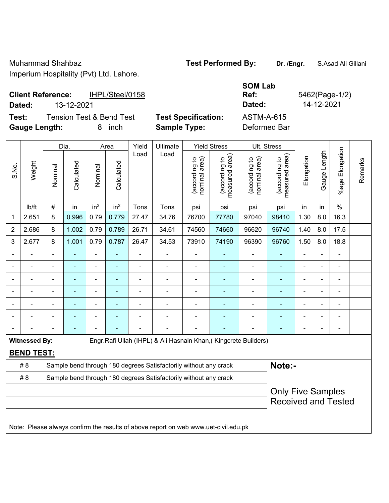Muhammad Shahbaz **Test Performed By: Dr. /Engr.** S.Asad Ali Gillani Imperium Hospitality (Pvt) Ltd. Lahore.

### **Client Reference:** IHPL/Steel/0158 **Dated:** 13-12-2021 **Dated:** 14-12-2021

 $\overline{\phantom{a}}$ 

**Gauge Length:** 8 inch **Sample Type:** Deformed Bar

**Test:** Tension Test & Bend Test **Test Specification:** ASTM-A-615

 $\blacksquare$ 

**SOM Lab Ref:** 5462(Page-1/2)

|       |                      |                          | Dia.           |                 | Area            | Yield          | Ultimate                                                                            |                                | <b>Yield Stress</b>             | Ult. Stress                    |                                 |                |                |                              |         |
|-------|----------------------|--------------------------|----------------|-----------------|-----------------|----------------|-------------------------------------------------------------------------------------|--------------------------------|---------------------------------|--------------------------------|---------------------------------|----------------|----------------|------------------------------|---------|
| S.No. | Weight               | Nominal                  | Calculated     | Nominal         | Calculated      | Load           | Load                                                                                | nominal area)<br>(according to | (according to<br>measured area) | (according to<br>nominal area) | (according to<br>measured area) | Elongation     | Gauge Length   | Elongation<br>$%$ age        | Remarks |
|       | lb/ft                | $\#$                     | in             | in <sup>2</sup> | in <sup>2</sup> | Tons           | Tons                                                                                | psi                            | psi                             | psi                            | psi                             | in             | in             | $\%$                         |         |
| 1     | 2.651                | 8                        | 0.996          | 0.79            | 0.779           | 27.47          | 34.76                                                                               | 76700                          | 77780                           | 97040                          | 98410                           | 1.30           | 8.0            | 16.3                         |         |
| 2     | 2.686                | 8                        | 1.002          | 0.79            | 0.789           | 26.71          | 34.61                                                                               | 74560                          | 74660                           | 96620                          | 96740                           | 1.40           | 8.0            | 17.5                         |         |
| 3     | 2.677                | 8                        | 1.001          | 0.79            | 0.787           | 26.47          | 34.53                                                                               | 73910                          | 74190                           | 96390                          | 96760                           | 1.50           | 8.0            | 18.8                         |         |
|       |                      |                          |                | ä,              |                 |                |                                                                                     |                                |                                 | $\blacksquare$                 | $\blacksquare$                  |                |                | $\blacksquare$               |         |
|       |                      |                          |                |                 |                 |                | ٠                                                                                   |                                |                                 |                                |                                 |                |                | ۰                            |         |
|       |                      |                          | ٠              | $\blacksquare$  |                 | $\blacksquare$ | $\blacksquare$                                                                      | $\blacksquare$                 |                                 | $\blacksquare$                 | $\blacksquare$                  | $\blacksquare$ | $\blacksquare$ | $\blacksquare$               |         |
|       |                      | $\blacksquare$           | $\blacksquare$ | ۰               | ۰               | $\overline{a}$ | $\blacksquare$                                                                      | $\overline{a}$                 | $\blacksquare$                  | ۰                              | ۰                               | $\blacksquare$ | -              | $\qquad \qquad \blacksquare$ |         |
|       |                      | $\blacksquare$           | $\blacksquare$ | ÷,              | ۰               | $\blacksquare$ | $\blacksquare$                                                                      | $\blacksquare$                 |                                 | $\blacksquare$                 | ٠                               | $\blacksquare$ |                | ÷,                           |         |
|       |                      |                          |                |                 |                 |                |                                                                                     |                                |                                 |                                |                                 |                |                |                              |         |
|       |                      |                          |                |                 |                 |                |                                                                                     |                                |                                 |                                | ٠                               |                |                | ۰                            |         |
|       | <b>Witnessed By:</b> |                          |                |                 |                 |                | Engr.Rafi Ullah (IHPL) & Ali Hasnain Khan, (Kingcrete Builders)                     |                                |                                 |                                |                                 |                |                |                              |         |
|       | <b>BEND TEST:</b>    |                          |                |                 |                 |                |                                                                                     |                                |                                 |                                |                                 |                |                |                              |         |
|       | # 8                  |                          |                |                 |                 |                | Sample bend through 180 degrees Satisfactorily without any crack                    |                                |                                 |                                | Note:-                          |                |                |                              |         |
|       | # 8                  |                          |                |                 |                 |                | Sample bend through 180 degrees Satisfactorily without any crack                    |                                |                                 |                                |                                 |                |                |                              |         |
|       |                      | <b>Only Five Samples</b> |                |                 |                 |                |                                                                                     |                                |                                 |                                |                                 |                |                |                              |         |
|       |                      |                          |                |                 |                 |                |                                                                                     |                                |                                 |                                | <b>Received and Tested</b>      |                |                |                              |         |
|       |                      |                          |                |                 |                 |                |                                                                                     |                                |                                 |                                |                                 |                |                |                              |         |
|       |                      |                          |                |                 |                 |                | Note: Please always confirm the results of above report on web www.uet-civil.edu.pk |                                |                                 |                                |                                 |                |                |                              |         |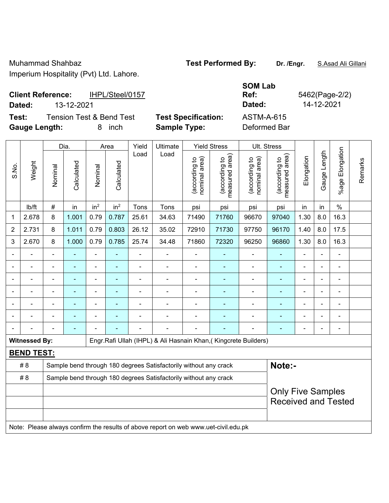Muhammad Shahbaz **Test Performed By: Dr. /Engr.** S.Asad Ali Gillani Imperium Hospitality (Pvt) Ltd. Lahore.

### **Client Reference:** IHPL/Steel/0157 **Dated:** 13-12-2021 **Dated:** 14-12-2021

 $\overline{\phantom{a}}$ 

h

**Test:** Tension Test & Bend Test **Test Specification:** ASTM-A-615 **Gauge Length:** 8 inch **Sample Type:** Deformed Bar

 $\top$ 

 $\overline{\phantom{a}}$ 

 $\top$ 

**SOM Lab Ref:** 5462(Page-2/2)

 $\top$ 

|                |                      |                          | Dia.       |                 | Area            | Yield          | Ultimate                                                                            |                                | <b>Yield Stress</b>             |                                | Ult. Stress                                 |                |              |                          |         |
|----------------|----------------------|--------------------------|------------|-----------------|-----------------|----------------|-------------------------------------------------------------------------------------|--------------------------------|---------------------------------|--------------------------------|---------------------------------------------|----------------|--------------|--------------------------|---------|
| S.No.          | Weight               | Nominal                  | Calculated | Nominal         | Calculated      | Load           | Load                                                                                | (according to<br>nominal area) | (according to<br>measured area) | (according to<br>nominal area) | (according to<br>measured area)<br>measured | Elongation     | Gauge Length | Elongation<br>$%$ age    | Remarks |
|                | lb/ft                | $\#$                     | in         | in <sup>2</sup> | in <sup>2</sup> | Tons           | Tons                                                                                | psi                            | psi                             | psi                            | psi                                         | in             | in           | $\%$                     |         |
| 1              | 2.678                | 8                        | 1.001      | 0.79            | 0.787           | 25.61          | 34.63                                                                               | 71490                          | 71760                           | 96670                          | 97040                                       | 1.30           | 8.0          | 16.3                     |         |
| 2              | 2.731                | 8                        | 1.011      | 0.79            | 0.803           | 26.12          | 35.02                                                                               | 72910                          | 71730                           | 97750                          | 96170                                       | 1.40           | 8.0          | 17.5                     |         |
| 3              | 2.670                | 8                        | 1.000      | 0.79            | 0.785           | 25.74          | 34.48                                                                               | 71860                          | 72320                           | 96250                          | 96860                                       | 1.30           | 8.0          | 16.3                     |         |
|                |                      |                          |            | ä,              |                 |                |                                                                                     |                                |                                 | $\blacksquare$                 |                                             |                |              | ÷                        |         |
|                |                      |                          |            |                 |                 |                |                                                                                     |                                |                                 |                                |                                             |                |              |                          |         |
|                |                      |                          | ۰          | ۰               |                 |                | $\overline{\phantom{0}}$                                                            | $\overline{a}$                 |                                 | ÷                              | $\blacksquare$                              | $\blacksquare$ |              | -                        |         |
| $\blacksquare$ |                      | $\blacksquare$           | ۰          | ÷               |                 | $\blacksquare$ | $\overline{\phantom{0}}$                                                            |                                |                                 | $\overline{\phantom{0}}$       | $\blacksquare$                              | $\blacksquare$ |              | $\overline{\phantom{a}}$ |         |
|                |                      | $\blacksquare$           | ÷,         | $\blacksquare$  |                 | ä,             | $\blacksquare$                                                                      | $\blacksquare$                 |                                 |                                | ä,                                          | $\overline{a}$ |              | ÷                        |         |
|                |                      |                          |            |                 |                 |                |                                                                                     |                                |                                 |                                |                                             |                |              |                          |         |
|                |                      |                          |            |                 |                 |                |                                                                                     |                                |                                 |                                | -                                           |                |              | -                        |         |
|                | <b>Witnessed By:</b> |                          |            |                 |                 |                | Engr.Rafi Ullah (IHPL) & Ali Hasnain Khan, (Kingcrete Builders)                     |                                |                                 |                                |                                             |                |              |                          |         |
|                | <b>BEND TEST:</b>    |                          |            |                 |                 |                |                                                                                     |                                |                                 |                                |                                             |                |              |                          |         |
|                | # 8                  |                          |            |                 |                 |                | Sample bend through 180 degrees Satisfactorily without any crack                    |                                |                                 |                                | Note:-                                      |                |              |                          |         |
|                | #8                   |                          |            |                 |                 |                | Sample bend through 180 degrees Satisfactorily without any crack                    |                                |                                 |                                |                                             |                |              |                          |         |
|                |                      | <b>Only Five Samples</b> |            |                 |                 |                |                                                                                     |                                |                                 |                                |                                             |                |              |                          |         |
|                |                      |                          |            |                 |                 |                |                                                                                     |                                |                                 |                                | <b>Received and Tested</b>                  |                |              |                          |         |
|                |                      |                          |            |                 |                 |                |                                                                                     |                                |                                 |                                |                                             |                |              |                          |         |
|                |                      |                          |            |                 |                 |                | Note: Please always confirm the results of above report on web www.uet-civil.edu.pk |                                |                                 |                                |                                             |                |              |                          |         |

 $\overline{\mathbf{r}}$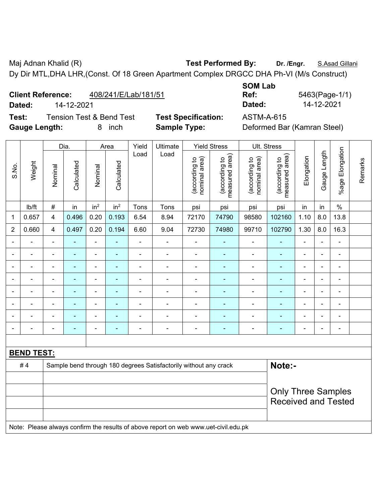Maj Adnan Khalid (R) **Test Performed By:** Dr. /Engr. **S.Asad Gillani** Dy Dir MTL,DHA LHR,(Const. Of 18 Green Apartment Complex DRGCC DHA Ph-VI (M/s Construct)

**Client Reference:** 408/241/E/Lab/181/51

**Test:** Tension Test & Bend Test **Test Specification:** ASTM-A-615 **Gauge Length:** 8 inch **Sample Type:** Deformed Bar (Kamran Steel)

**SOM Lab Ref:** 5463(Page-1/1) **Dated:** 14-12-2021 **Dated:** 14-12-2021

|                |                   | Dia.                                                                                |                | Area            | Yield                    | Ultimate       |                                                                  | <b>Yield Stress</b>            |                                 | Ult. Stress                    |                                 |                |                |                 |         |
|----------------|-------------------|-------------------------------------------------------------------------------------|----------------|-----------------|--------------------------|----------------|------------------------------------------------------------------|--------------------------------|---------------------------------|--------------------------------|---------------------------------|----------------|----------------|-----------------|---------|
| S.No.          | Weight            | Nominal                                                                             | Calculated     | Nominal         | Calculated               | Load           | Load                                                             | nominal area)<br>(according to | measured area)<br>(according to | nominal area)<br>(according to | measured area)<br>(according to | Elongation     | Gauge Length   | %age Elongation | Remarks |
|                | Ib/ft             | #                                                                                   | in             | in <sup>2</sup> | in <sup>2</sup>          | Tons           | Tons                                                             | psi                            | psi                             | psi                            | psi                             | in             | in             | $\frac{0}{0}$   |         |
| 1              | 0.657             | $\overline{4}$                                                                      | 0.496          | 0.20            | 0.193                    | 6.54           | 8.94                                                             | 72170                          | 74790                           | 98580                          | 102160                          | 1.10           | 8.0            | 13.8            |         |
| $\overline{2}$ | 0.660             | $\overline{4}$                                                                      | 0.497          | 0.20            | 0.194                    | 6.60           | 9.04                                                             | 72730                          | 74980                           | 99710                          | 102790                          | 1.30           | 8.0            | 16.3            |         |
|                |                   |                                                                                     |                | ÷               |                          | ä,             |                                                                  |                                |                                 |                                | $\blacksquare$                  |                |                |                 |         |
|                |                   |                                                                                     | $\blacksquare$ | ÷               |                          | ä,             | $\blacksquare$                                                   |                                |                                 | ۰                              | ۰                               | $\blacksquare$ |                | L.              |         |
|                |                   | $\overline{\phantom{0}}$                                                            | $\blacksquare$ | $\blacksquare$  | $\overline{a}$           | -              | $\blacksquare$                                                   | $\blacksquare$                 | $\overline{\phantom{a}}$        | ۰                              | ۰                               | $\blacksquare$ | $\blacksquare$ | ÷               |         |
|                |                   | $\blacksquare$                                                                      | ÷              | $\blacksquare$  | $\overline{\phantom{a}}$ | ä,             | $\blacksquare$                                                   | $\overline{\phantom{a}}$       | $\overline{\phantom{a}}$        | $\overline{\phantom{a}}$       | ۰                               | $\blacksquare$ | $\blacksquare$ | $\blacksquare$  |         |
|                |                   | $\blacksquare$                                                                      | $\blacksquare$ | ÷,              | ÷                        | $\blacksquare$ | ÷,                                                               | $\blacksquare$                 | $\overline{\phantom{a}}$        | $\qquad \qquad \blacksquare$   | ÷,                              | $\blacksquare$ | $\blacksquare$ | ÷               |         |
|                | $\blacksquare$    | $\overline{\phantom{0}}$                                                            | ÷              | $\blacksquare$  | Ē.                       | $\blacksquare$ | $\blacksquare$                                                   | ٠                              | $\overline{\phantom{a}}$        | ۰                              | $\blacksquare$                  | $\blacksquare$ |                | ÷.              |         |
|                |                   |                                                                                     | $\blacksquare$ | ÷               |                          | $\blacksquare$ | $\blacksquare$                                                   |                                | $\overline{\phantom{a}}$        | ÷                              | $\blacksquare$                  |                |                | ÷               |         |
|                |                   | $\blacksquare$                                                                      |                | ÷               | Ē.                       | $\blacksquare$ |                                                                  |                                |                                 | ۰                              | ۰                               |                |                | ÷               |         |
|                |                   |                                                                                     |                |                 |                          |                |                                                                  |                                |                                 |                                |                                 |                |                |                 |         |
|                | <b>BEND TEST:</b> |                                                                                     |                |                 |                          |                |                                                                  |                                |                                 |                                |                                 |                |                |                 |         |
|                | #4                |                                                                                     |                |                 |                          |                | Sample bend through 180 degrees Satisfactorily without any crack |                                |                                 |                                | Note:-                          |                |                |                 |         |
|                |                   |                                                                                     |                |                 |                          |                |                                                                  |                                |                                 |                                |                                 |                |                |                 |         |
|                |                   |                                                                                     |                |                 |                          |                |                                                                  |                                |                                 |                                | <b>Only Three Samples</b>       |                |                |                 |         |
|                |                   |                                                                                     |                |                 |                          |                |                                                                  |                                |                                 |                                | <b>Received and Tested</b>      |                |                |                 |         |
|                |                   |                                                                                     |                |                 |                          |                |                                                                  |                                |                                 |                                |                                 |                |                |                 |         |
|                |                   | Note: Please always confirm the results of above report on web www.uet-civil.edu.pk |                |                 |                          |                |                                                                  |                                |                                 |                                |                                 |                |                |                 |         |